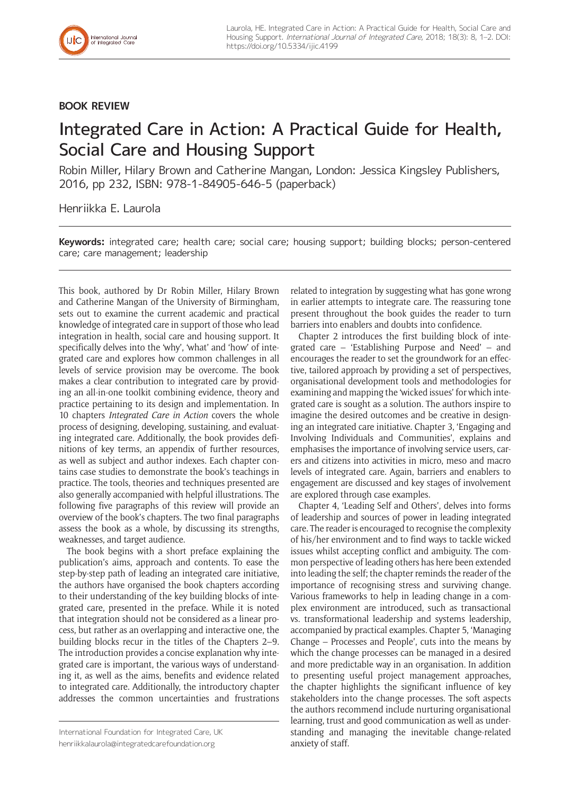

## **BOOK REVIEW**

## Integrated Care in Action: A Practical Guide for Health, Social Care and Housing Support

Robin Miller, Hilary Brown and Catherine Mangan, London: Jessica Kingsley Publishers, 2016, pp 232, ISBN: 978-1-84905-646-5 (paperback)

Henriikka E. Laurola

**Keywords:** integrated care; health care; social care; housing support; building blocks; person-centered care; care management; leadership

This book, authored by Dr Robin Miller, Hilary Brown and Catherine Mangan of the University of Birmingham, sets out to examine the current academic and practical knowledge of integrated care in support of those who lead integration in health, social care and housing support. It specifically delves into the 'why', 'what' and 'how' of integrated care and explores how common challenges in all levels of service provision may be overcome. The book makes a clear contribution to integrated care by providing an all-in-one toolkit combining evidence, theory and practice pertaining to its design and implementation. In 10 chapters *Integrated Care in Action* covers the whole process of designing, developing, sustaining, and evaluating integrated care. Additionally, the book provides definitions of key terms, an appendix of further resources, as well as subject and author indexes. Each chapter contains case studies to demonstrate the book's teachings in practice. The tools, theories and techniques presented are also generally accompanied with helpful illustrations. The following five paragraphs of this review will provide an overview of the book's chapters. The two final paragraphs assess the book as a whole, by discussing its strengths, weaknesses, and target audience.

The book begins with a short preface explaining the publication's aims, approach and contents. To ease the step-by-step path of leading an integrated care initiative, the authors have organised the book chapters according to their understanding of the key building blocks of integrated care, presented in the preface. While it is noted that integration should not be considered as a linear process, but rather as an overlapping and interactive one, the building blocks recur in the titles of the Chapters 2–9. The introduction provides a concise explanation why integrated care is important, the various ways of understanding it, as well as the aims, benefits and evidence related to integrated care. Additionally, the introductory chapter addresses the common uncertainties and frustrations related to integration by suggesting what has gone wrong in earlier attempts to integrate care. The reassuring tone present throughout the book guides the reader to turn barriers into enablers and doubts into confidence.

Chapter 2 introduces the first building block of integrated care – 'Establishing Purpose and Need' – and encourages the reader to set the groundwork for an effective, tailored approach by providing a set of perspectives, organisational development tools and methodologies for examining and mapping the 'wicked issues' for which integrated care is sought as a solution. The authors inspire to imagine the desired outcomes and be creative in designing an integrated care initiative. Chapter 3, 'Engaging and Involving Individuals and Communities', explains and emphasises the importance of involving service users, carers and citizens into activities in micro, meso and macro levels of integrated care. Again, barriers and enablers to engagement are discussed and key stages of involvement are explored through case examples.

Chapter 4, 'Leading Self and Others', delves into forms of leadership and sources of power in leading integrated care. The reader is encouraged to recognise the complexity of his/her environment and to find ways to tackle wicked issues whilst accepting conflict and ambiguity. The common perspective of leading others has here been extended into leading the self; the chapter reminds the reader of the importance of recognising stress and surviving change. Various frameworks to help in leading change in a complex environment are introduced, such as transactional vs. transformational leadership and systems leadership, accompanied by practical examples. Chapter 5, 'Managing Change – Processes and People', cuts into the means by which the change processes can be managed in a desired and more predictable way in an organisation. In addition to presenting useful project management approaches, the chapter highlights the significant influence of key stakeholders into the change processes. The soft aspects the authors recommend include nurturing organisational learning, trust and good communication as well as understanding and managing the inevitable change-related anxiety of staff.

International Foundation for Integrated Care, UK [henriikkalaurola@integratedcarefoundation.org](mailto:henriikkalaurola@integratedcarefoundation.org)